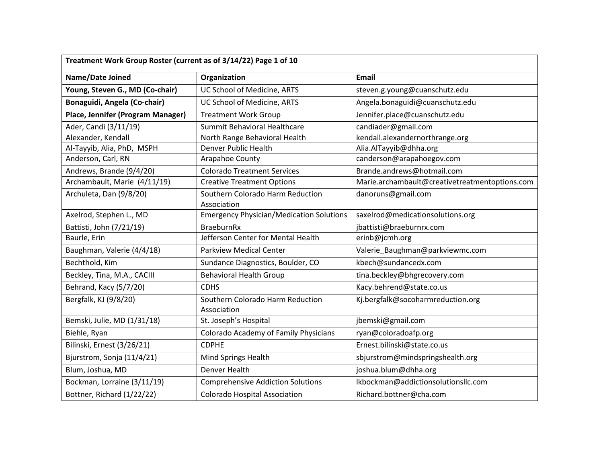| Treatment Work Group Roster (current as of 3/14/22) Page 1 of 10 |                                                 |                                                |
|------------------------------------------------------------------|-------------------------------------------------|------------------------------------------------|
| Name/Date Joined                                                 | Organization                                    | <b>Email</b>                                   |
| Young, Steven G., MD (Co-chair)                                  | UC School of Medicine, ARTS                     | steven.g.young@cuanschutz.edu                  |
| Bonaguidi, Angela (Co-chair)                                     | UC School of Medicine, ARTS                     | Angela.bonaguidi@cuanschutz.edu                |
| Place, Jennifer (Program Manager)                                | <b>Treatment Work Group</b>                     | Jennifer.place@cuanschutz.edu                  |
| Ader, Candi (3/11/19)                                            | Summit Behavioral Healthcare                    | candiader@gmail.com                            |
| Alexander, Kendall                                               | North Range Behavioral Health                   | kendall.alexandernorthrange.org                |
| Al-Tayyib, Alia, PhD, MSPH                                       | Denver Public Health                            | Alia.AlTayyib@dhha.org                         |
| Anderson, Carl, RN                                               | Arapahoe County                                 | canderson@arapahoegov.com                      |
| Andrews, Brande (9/4/20)                                         | <b>Colorado Treatment Services</b>              | Brande.andrews@hotmail.com                     |
| Archambault, Marie (4/11/19)                                     | <b>Creative Treatment Options</b>               | Marie.archambault@creativetreatmentoptions.com |
| Archuleta, Dan (9/8/20)                                          | Southern Colorado Harm Reduction<br>Association | danoruns@gmail.com                             |
| Axelrod, Stephen L., MD                                          | <b>Emergency Physician/Medication Solutions</b> | saxelrod@medicationsolutions.org               |
| Battisti, John (7/21/19)                                         | <b>BraeburnRx</b>                               | jbattisti@braeburnrx.com                       |
| Baurle, Erin                                                     | Jefferson Center for Mental Health              | erinb@jcmh.org                                 |
| Baughman, Valerie (4/4/18)                                       | <b>Parkview Medical Center</b>                  | Valerie_Baughman@parkviewmc.com                |
| Bechthold, Kim                                                   | Sundance Diagnostics, Boulder, CO               | kbech@sundancedx.com                           |
| Beckley, Tina, M.A., CACIII                                      | <b>Behavioral Health Group</b>                  | tina.beckley@bhgrecovery.com                   |
| Behrand, Kacy (5/7/20)                                           | <b>CDHS</b>                                     | Kacy.behrend@state.co.us                       |
| Bergfalk, KJ (9/8/20)                                            | Southern Colorado Harm Reduction<br>Association | Kj.bergfalk@socoharmreduction.org              |
| Bemski, Julie, MD (1/31/18)                                      | St. Joseph's Hospital                           | jbemski@gmail.com                              |
| Biehle, Ryan                                                     | Colorado Academy of Family Physicians           | ryan@coloradoafp.org                           |
| Bilinski, Ernest (3/26/21)                                       | <b>CDPHE</b>                                    | Ernest.bilinski@state.co.us                    |
| Bjurstrom, Sonja (11/4/21)                                       | Mind Springs Health                             | sbjurstrom@mindspringshealth.org               |
| Blum, Joshua, MD                                                 | Denver Health                                   | joshua.blum@dhha.org                           |
| Bockman, Lorraine (3/11/19)                                      | <b>Comprehensive Addiction Solutions</b>        | lkbockman@addictionsolutionsllc.com            |
| Bottner, Richard (1/22/22)                                       | <b>Colorado Hospital Association</b>            | Richard.bottner@cha.com                        |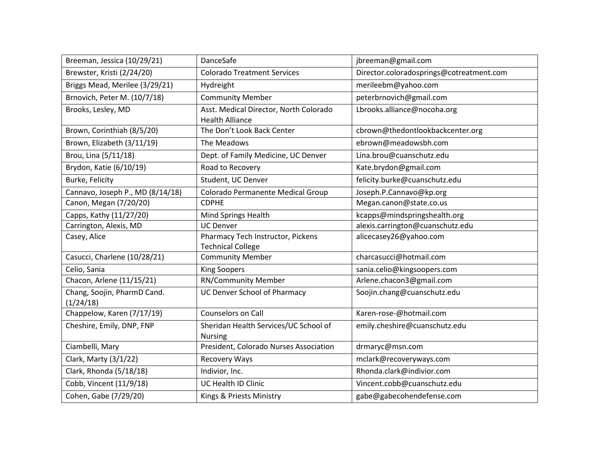| Breeman, Jessica (10/29/21)              | DanceSafe                                                        | jbreeman@gmail.com                       |
|------------------------------------------|------------------------------------------------------------------|------------------------------------------|
| Brewster, Kristi (2/24/20)               | <b>Colorado Treatment Services</b>                               | Director.coloradosprings@cotreatment.com |
| Briggs Mead, Merilee (3/29/21)           | Hydreight                                                        | merileebm@yahoo.com                      |
| Brnovich, Peter M. (10/7/18)             | <b>Community Member</b>                                          | peterbrnovich@gmail.com                  |
| Brooks, Lesley, MD                       | Asst. Medical Director, North Colorado<br><b>Health Alliance</b> | Lbrooks.alliance@nocoha.org              |
| Brown, Corinthiah (8/5/20)               | The Don't Look Back Center                                       | cbrown@thedontlookbackcenter.org         |
| Brown, Elizabeth (3/11/19)               | The Meadows                                                      | ebrown@meadowsbh.com                     |
| Brou, Lina (5/11/18)                     | Dept. of Family Medicine, UC Denver                              | Lina.brou@cuanschutz.edu                 |
| Brydon, Katie (6/10/19)                  | Road to Recovery                                                 | Kate.brydon@gmail.com                    |
| Burke, Felicity                          | Student, UC Denver                                               | felicity.burke@cuanschutz.edu            |
| Cannavo, Joseph P., MD (8/14/18)         | Colorado Permanente Medical Group                                | Joseph.P.Cannavo@kp.org                  |
| Canon, Megan (7/20/20)                   | <b>CDPHE</b>                                                     | Megan.canon@state.co.us                  |
| Capps, Kathy (11/27/20)                  | Mind Springs Health                                              | kcapps@mindspringshealth.org             |
| Carrington, Alexis, MD                   | <b>UC Denver</b>                                                 | alexis.carrington@cuanschutz.edu         |
| Casey, Alice                             | Pharmacy Tech Instructor, Pickens<br><b>Technical College</b>    | alicecasey26@yahoo.com                   |
| Casucci, Charlene (10/28/21)             | <b>Community Member</b>                                          | charcasucci@hotmail.com                  |
| Celio, Sania                             | <b>King Soopers</b>                                              | sania.celio@kingsoopers.com              |
| Chacon, Arlene (11/15/21)                | <b>RN/Community Member</b>                                       | Arlene.chacon3@gmail.com                 |
| Chang, Soojin, PharmD Cand.<br>(1/24/18) | UC Denver School of Pharmacy                                     | Soojin.chang@cuanschutz.edu              |
| Chappelow, Karen (7/17/19)               | Counselors on Call                                               | Karen-rose-@hotmail.com                  |
| Cheshire, Emily, DNP, FNP                | Sheridan Health Services/UC School of<br><b>Nursing</b>          | emily.cheshire@cuanschutz.edu            |
| Ciambelli, Mary                          | President, Colorado Nurses Association                           | drmaryc@msn.com                          |
| Clark, Marty (3/1/22)                    | Recovery Ways                                                    | mclark@recoveryways.com                  |
| Clark, Rhonda (5/18/18)                  | Indivior, Inc.                                                   | Rhonda.clark@indivior.com                |
| Cobb, Vincent (11/9/18)                  | UC Health ID Clinic                                              | Vincent.cobb@cuanschutz.edu              |
| Cohen, Gabe (7/29/20)                    | Kings & Priests Ministry                                         | gabe@gabecohendefense.com                |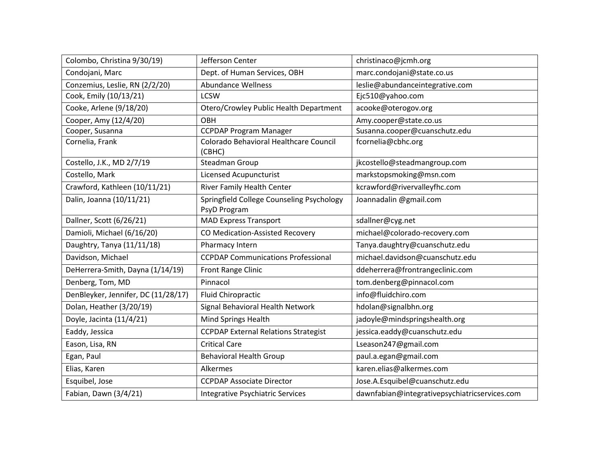| Colombo, Christina 9/30/19)         | Jefferson Center                                          | christinaco@jcmh.org                          |
|-------------------------------------|-----------------------------------------------------------|-----------------------------------------------|
| Condojani, Marc                     | Dept. of Human Services, OBH                              | marc.condojani@state.co.us                    |
| Conzemius, Leslie, RN (2/2/20)      | <b>Abundance Wellness</b>                                 | leslie@abundanceintegrative.com               |
| Cook, Emily (10/13/21)              | <b>LCSW</b>                                               | Ejc510@yahoo.com                              |
| Cooke, Arlene (9/18/20)             | Otero/Crowley Public Health Department                    | acooke@oterogov.org                           |
| Cooper, Amy (12/4/20)               | <b>OBH</b>                                                | Amy.cooper@state.co.us                        |
| Cooper, Susanna                     | <b>CCPDAP Program Manager</b>                             | Susanna.cooper@cuanschutz.edu                 |
| Cornelia, Frank                     | Colorado Behavioral Healthcare Council<br>(CBHC)          | fcornelia@cbhc.org                            |
| Costello, J.K., MD 2/7/19           | Steadman Group                                            | jkcostello@steadmangroup.com                  |
| Costello, Mark                      | Licensed Acupuncturist                                    | markstopsmoking@msn.com                       |
| Crawford, Kathleen (10/11/21)       | River Family Health Center                                | kcrawford@rivervalleyfhc.com                  |
| Dalin, Joanna (10/11/21)            | Springfield College Counseling Psychology<br>PsyD Program | Joannadalin @gmail.com                        |
| Dallner, Scott (6/26/21)            | <b>MAD Express Transport</b>                              | sdallner@cyg.net                              |
| Damioli, Michael (6/16/20)          | CO Medication-Assisted Recovery                           | michael@colorado-recovery.com                 |
| Daughtry, Tanya (11/11/18)          | Pharmacy Intern                                           | Tanya.daughtry@cuanschutz.edu                 |
| Davidson, Michael                   | <b>CCPDAP Communications Professional</b>                 | michael.davidson@cuanschutz.edu               |
| DeHerrera-Smith, Dayna (1/14/19)    | Front Range Clinic                                        | ddeherrera@frontrangeclinic.com               |
| Denberg, Tom, MD                    | Pinnacol                                                  | tom.denberg@pinnacol.com                      |
| DenBleyker, Jennifer, DC (11/28/17) | <b>Fluid Chiropractic</b>                                 | info@fluidchiro.com                           |
| Dolan, Heather (3/20/19)            | Signal Behavioral Health Network                          | hdolan@signalbhn.org                          |
| Doyle, Jacinta (11/4/21)            | Mind Springs Health                                       | jadoyle@mindspringshealth.org                 |
| Eaddy, Jessica                      | <b>CCPDAP External Relations Strategist</b>               | jessica.eaddy@cuanschutz.edu                  |
| Eason, Lisa, RN                     | <b>Critical Care</b>                                      | Lseason247@gmail.com                          |
| Egan, Paul                          | <b>Behavioral Health Group</b>                            | paul.a.egan@gmail.com                         |
| Elias, Karen                        | Alkermes                                                  | karen.elias@alkermes.com                      |
| Esquibel, Jose                      | <b>CCPDAP Associate Director</b>                          | Jose.A.Esquibel@cuanschutz.edu                |
| Fabian, Dawn (3/4/21)               | Integrative Psychiatric Services                          | dawnfabian@integrativepsychiatricservices.com |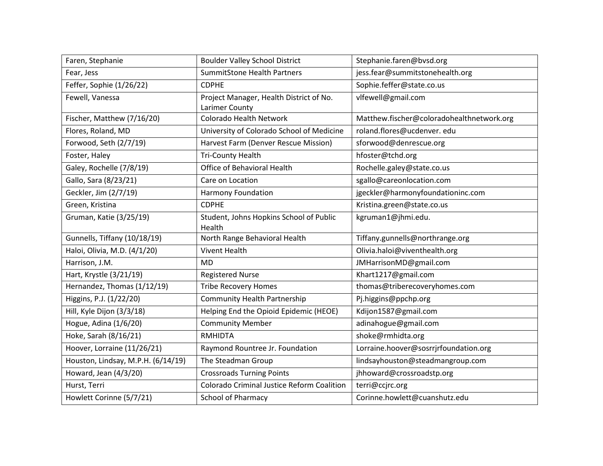| Faren, Stephanie                   | <b>Boulder Valley School District</b>                     | Stephanie.faren@bvsd.org                  |
|------------------------------------|-----------------------------------------------------------|-------------------------------------------|
| Fear, Jess                         | <b>SummitStone Health Partners</b>                        | jess.fear@summitstonehealth.org           |
| Feffer, Sophie (1/26/22)           | <b>CDPHE</b>                                              | Sophie.feffer@state.co.us                 |
| Fewell, Vanessa                    | Project Manager, Health District of No.<br>Larimer County | vlfewell@gmail.com                        |
| Fischer, Matthew (7/16/20)         | Colorado Health Network                                   | Matthew.fischer@coloradohealthnetwork.org |
| Flores, Roland, MD                 | University of Colorado School of Medicine                 | roland.flores@ucdenver.edu                |
| Forwood, Seth (2/7/19)             | Harvest Farm (Denver Rescue Mission)                      | sforwood@denrescue.org                    |
| Foster, Haley                      | <b>Tri-County Health</b>                                  | hfoster@tchd.org                          |
| Galey, Rochelle (7/8/19)           | Office of Behavioral Health                               | Rochelle.galey@state.co.us                |
| Gallo, Sara (8/23/21)              | Care on Location                                          | sgallo@careonlocation.com                 |
| Geckler, Jim (2/7/19)              | <b>Harmony Foundation</b>                                 | jgeckler@harmonyfoundationinc.com         |
| Green, Kristina                    | <b>CDPHE</b>                                              | Kristina.green@state.co.us                |
| Gruman, Katie (3/25/19)            | Student, Johns Hopkins School of Public<br>Health         | kgruman1@jhmi.edu.                        |
| Gunnells, Tiffany (10/18/19)       | North Range Behavioral Health                             | Tiffany.gunnells@northrange.org           |
| Haloi, Olivia, M.D. (4/1/20)       | <b>Vivent Health</b>                                      | Olivia.haloi@viventhealth.org             |
| Harrison, J.M.                     | <b>MD</b>                                                 | JMHarrisonMD@gmail.com                    |
| Hart, Krystle (3/21/19)            | <b>Registered Nurse</b>                                   | Khart1217@gmail.com                       |
| Hernandez, Thomas (1/12/19)        | <b>Tribe Recovery Homes</b>                               | thomas@triberecoveryhomes.com             |
| Higgins, P.J. (1/22/20)            | <b>Community Health Partnership</b>                       | Pj.higgins@ppchp.org                      |
| Hill, Kyle Dijon (3/3/18)          | Helping End the Opioid Epidemic (HEOE)                    | Kdijon1587@gmail.com                      |
| Hogue, Adina (1/6/20)              | <b>Community Member</b>                                   | adinahogue@gmail.com                      |
| Hoke, Sarah (8/16/21)              | <b>RMHIDTA</b>                                            | shoke@rmhidta.org                         |
| Hoover, Lorraine (11/26/21)        | Raymond Rountree Jr. Foundation                           | Lorraine.hoover@sosrrjrfoundation.org     |
| Houston, Lindsay, M.P.H. (6/14/19) | The Steadman Group                                        | lindsayhouston@steadmangroup.com          |
| Howard, Jean (4/3/20)              | <b>Crossroads Turning Points</b>                          | jhhoward@crossroadstp.org                 |
| Hurst, Terri                       | Colorado Criminal Justice Reform Coalition                | terri@ccjrc.org                           |
| Howlett Corinne (5/7/21)           | <b>School of Pharmacy</b>                                 | Corinne.howlett@cuanshutz.edu             |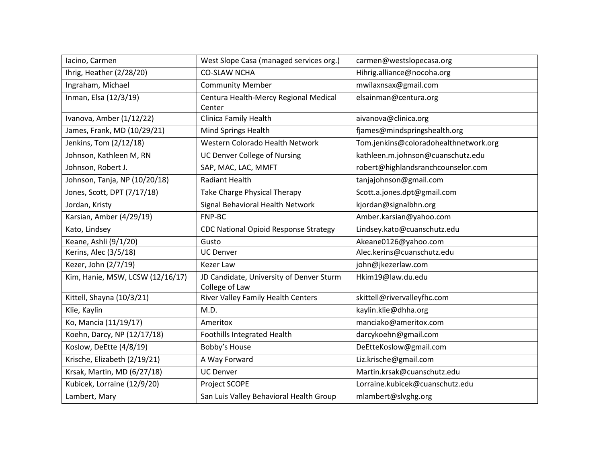| lacino, Carmen                   | West Slope Casa (managed services org.)                    | carmen@westslopecasa.org              |
|----------------------------------|------------------------------------------------------------|---------------------------------------|
| Ihrig, Heather (2/28/20)         | <b>CO-SLAW NCHA</b>                                        | Hihrig.alliance@nocoha.org            |
| Ingraham, Michael                | <b>Community Member</b>                                    | mwilaxnsax@gmail.com                  |
| Inman, Elsa (12/3/19)            | Centura Health-Mercy Regional Medical<br>Center            | elsainman@centura.org                 |
| Ivanova, Amber (1/12/22)         | Clinica Family Health                                      | aivanova@clinica.org                  |
| James, Frank, MD (10/29/21)      | Mind Springs Health                                        | fjames@mindspringshealth.org          |
| Jenkins, Tom (2/12/18)           | Western Colorado Health Network                            | Tom.jenkins@coloradohealthnetwork.org |
| Johnson, Kathleen M, RN          | <b>UC Denver College of Nursing</b>                        | kathleen.m.johnson@cuanschutz.edu     |
| Johnson, Robert J.               | SAP, MAC, LAC, MMFT                                        | robert@highlandsranchcounselor.com    |
| Johnson, Tanja, NP (10/20/18)    | <b>Radiant Health</b>                                      | tanjajohnson@gmail.com                |
| Jones, Scott, DPT (7/17/18)      | Take Charge Physical Therapy                               | Scott.a.jones.dpt@gmail.com           |
| Jordan, Kristy                   | Signal Behavioral Health Network                           | kjordan@signalbhn.org                 |
| Karsian, Amber (4/29/19)         | FNP-BC                                                     | Amber.karsian@yahoo.com               |
| Kato, Lindsey                    | <b>CDC National Opioid Response Strategy</b>               | Lindsey.kato@cuanschutz.edu           |
| Keane, Ashli (9/1/20)            | Gusto                                                      | Akeane0126@yahoo.com                  |
| Kerins, Alec (3/5/18)            | <b>UC Denver</b>                                           | Alec.kerins@cuanschutz.edu            |
| Kezer, John (2/7/19)             | <b>Kezer Law</b>                                           | john@jkezerlaw.com                    |
| Kim, Hanie, MSW, LCSW (12/16/17) | JD Candidate, University of Denver Sturm<br>College of Law | Hkim19@law.du.edu                     |
| Kittell, Shayna (10/3/21)        | River Valley Family Health Centers                         | skittell@rivervalleyfhc.com           |
| Klie, Kaylin                     | M.D.                                                       | kaylin.klie@dhha.org                  |
| Ko, Mancia (11/19/17)            | Ameritox                                                   | manciako@ameritox.com                 |
| Koehn, Darcy, NP (12/17/18)      | Foothills Integrated Health                                | darcykoehn@gmail.com                  |
| Koslow, DeEtte (4/8/19)          | Bobby's House                                              | DeEtteKoslow@gmail.com                |
| Krische, Elizabeth (2/19/21)     | A Way Forward                                              | Liz.krische@gmail.com                 |
| Krsak, Martin, MD (6/27/18)      | <b>UC Denver</b>                                           | Martin.krsak@cuanschutz.edu           |
| Kubicek, Lorraine (12/9/20)      | Project SCOPE                                              | Lorraine.kubicek@cuanschutz.edu       |
| Lambert, Mary                    | San Luis Valley Behavioral Health Group                    | mlambert@slvghg.org                   |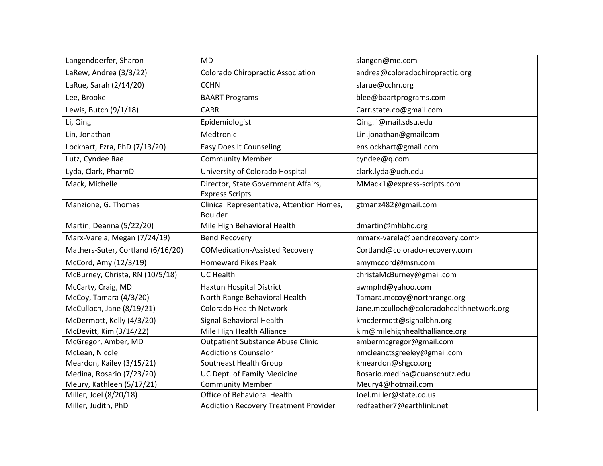| Langendoerfer, Sharon             | <b>MD</b>                                                   | slangen@me.com                           |
|-----------------------------------|-------------------------------------------------------------|------------------------------------------|
| LaRew, Andrea (3/3/22)            | <b>Colorado Chiropractic Association</b>                    | andrea@coloradochiropractic.org          |
| LaRue, Sarah (2/14/20)            | <b>CCHN</b>                                                 | slarue@cchn.org                          |
| Lee, Brooke                       | <b>BAART Programs</b>                                       | blee@baartprograms.com                   |
| Lewis, Butch (9/1/18)             | <b>CARR</b>                                                 | Carr.state.co@gmail.com                  |
| Li, Qing                          | Epidemiologist                                              | Qing.li@mail.sdsu.edu                    |
| Lin, Jonathan                     | Medtronic                                                   | Lin.jonathan@gmailcom                    |
| Lockhart, Ezra, PhD (7/13/20)     | <b>Easy Does It Counseling</b>                              | enslockhart@gmail.com                    |
| Lutz, Cyndee Rae                  | <b>Community Member</b>                                     | cyndee@q.com                             |
| Lyda, Clark, PharmD               | University of Colorado Hospital                             | clark.lyda@uch.edu                       |
| Mack, Michelle                    | Director, State Government Affairs,                         | MMack1@express-scripts.com               |
|                                   | <b>Express Scripts</b>                                      |                                          |
| Manzione, G. Thomas               | Clinical Representative, Attention Homes,<br><b>Boulder</b> | gtmanz482@gmail.com                      |
| Martin, Deanna (5/22/20)          | Mile High Behavioral Health                                 | dmartin@mhbhc.org                        |
| Marx-Varela, Megan (7/24/19)      | <b>Bend Recovery</b>                                        | mmarx-varela@bendrecovery.com>           |
| Mathers-Suter, Cortland (6/16/20) | <b>COMedication-Assisted Recovery</b>                       | Cortland@colorado-recovery.com           |
| McCord, Amy (12/3/19)             | <b>Homeward Pikes Peak</b>                                  | amymccord@msn.com                        |
| McBurney, Christa, RN (10/5/18)   | <b>UC Health</b>                                            | christaMcBurney@gmail.com                |
| McCarty, Craig, MD                | <b>Haxtun Hospital District</b>                             | awmphd@yahoo.com                         |
| McCoy, Tamara (4/3/20)            | North Range Behavioral Health                               | Tamara.mccoy@northrange.org              |
| McCulloch, Jane (8/19/21)         | Colorado Health Network                                     | Jane.mcculloch@coloradohealthnetwork.org |
| McDermott, Kelly (4/3/20)         | Signal Behavioral Health                                    | kmcdermott@signalbhn.org                 |
| McDevitt, Kim (3/14/22)           | Mile High Health Alliance                                   | kim@milehighhealthalliance.org           |
| McGregor, Amber, MD               | <b>Outpatient Substance Abuse Clinic</b>                    | ambermcgregor@gmail.com                  |
| McLean, Nicole                    | <b>Addictions Counselor</b>                                 | nmcleanctsgreeley@gmail.com              |
| Meardon, Kailey (3/15/21)         | Southeast Health Group                                      | kmeardon@shgco.org                       |
| Medina, Rosario (7/23/20)         | UC Dept. of Family Medicine                                 | Rosario.medina@cuanschutz.edu            |
| Meury, Kathleen (5/17/21)         | <b>Community Member</b>                                     | Meury4@hotmail.com                       |
| Miller, Joel (8/20/18)            | Office of Behavioral Health                                 | Joel.miller@state.co.us                  |
| Miller, Judith, PhD               | <b>Addiction Recovery Treatment Provider</b>                | redfeather7@earthlink.net                |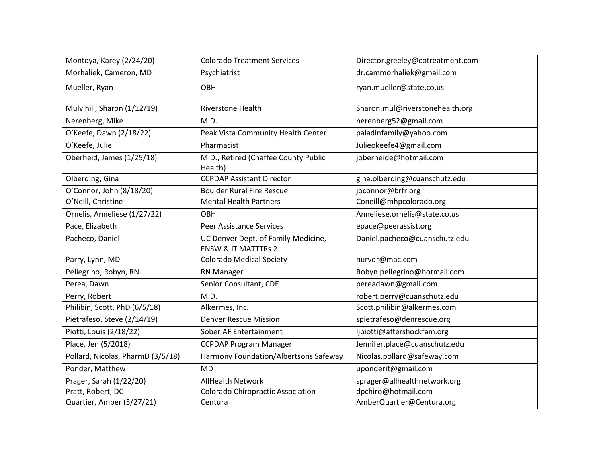| Montoya, Karey (2/24/20)          | <b>Colorado Treatment Services</b>                                    | Director.greeley@cotreatment.com |
|-----------------------------------|-----------------------------------------------------------------------|----------------------------------|
| Morhaliek, Cameron, MD            | Psychiatrist                                                          | dr.cammorhaliek@gmail.com        |
| Mueller, Ryan                     | OBH                                                                   | ryan.mueller@state.co.us         |
| Mulvihill, Sharon (1/12/19)       | <b>Riverstone Health</b>                                              | Sharon.mul@riverstonehealth.org  |
| Nerenberg, Mike                   | M.D.                                                                  | nerenberg52@gmail.com            |
| O'Keefe, Dawn (2/18/22)           | Peak Vista Community Health Center                                    | paladinfamily@yahoo.com          |
| O'Keefe, Julie                    | Pharmacist                                                            | Julieokeefe4@gmail.com           |
| Oberheid, James (1/25/18)         | M.D., Retired (Chaffee County Public<br>Health)                       | joberheide@hotmail.com           |
| Olberding, Gina                   | <b>CCPDAP Assistant Director</b>                                      | gina.olberding@cuanschutz.edu    |
| O'Connor, John (8/18/20)          | <b>Boulder Rural Fire Rescue</b>                                      | joconnor@brfr.org                |
| O'Neill, Christine                | <b>Mental Health Partners</b>                                         | Coneill@mhpcolorado.org          |
| Ornelis, Anneliese (1/27/22)      | OBH                                                                   | Anneliese.ornelis@state.co.us    |
| Pace, Elizabeth                   | <b>Peer Assistance Services</b>                                       | epace@peerassist.org             |
| Pacheco, Daniel                   | UC Denver Dept. of Family Medicine,<br><b>ENSW &amp; IT MATTTRs 2</b> | Daniel.pacheco@cuanschutz.edu    |
| Parry, Lynn, MD                   | <b>Colorado Medical Society</b>                                       | nurvdr@mac.com                   |
| Pellegrino, Robyn, RN             | <b>RN Manager</b>                                                     | Robyn.pellegrino@hotmail.com     |
| Perea, Dawn                       | Senior Consultant, CDE                                                | pereadawn@gmail.com              |
| Perry, Robert                     | M.D.                                                                  | robert.perry@cuanschutz.edu      |
| Philibin, Scott, PhD (6/5/18)     | Alkermes, Inc.                                                        | Scott.philibin@alkermes.com      |
| Pietrafeso, Steve (2/14/19)       | <b>Denver Rescue Mission</b>                                          | spietrafeso@denrescue.org        |
| Piotti, Louis (2/18/22)           | Sober AF Entertainment                                                | ljpiotti@aftershockfam.org       |
| Place, Jen (5/2018)               | <b>CCPDAP Program Manager</b>                                         | Jennifer.place@cuanschutz.edu    |
| Pollard, Nicolas, PharmD (3/5/18) | Harmony Foundation/Albertsons Safeway                                 | Nicolas.pollard@safeway.com      |
| Ponder, Matthew                   | <b>MD</b>                                                             | uponderit@gmail.com              |
| Prager, Sarah (1/22/20)           | <b>AllHealth Network</b>                                              | sprager@allhealthnetwork.org     |
| Pratt, Robert, DC                 | <b>Colorado Chiropractic Association</b>                              | dpchiro@hotmail.com              |
| Quartier, Amber (5/27/21)         | Centura                                                               | AmberQuartier@Centura.org        |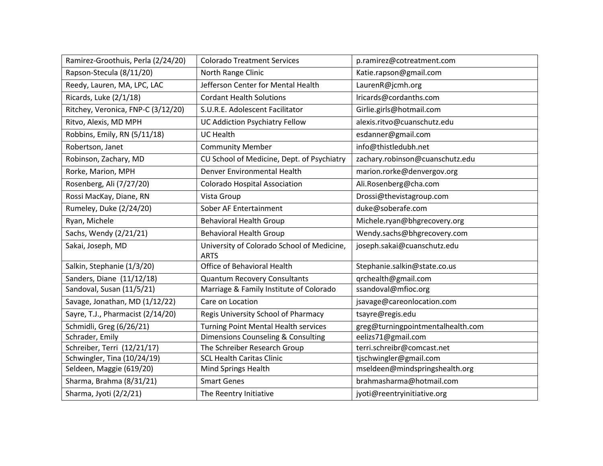| Ramirez-Groothuis, Perla (2/24/20) | <b>Colorado Treatment Services</b>                        | p.ramirez@cotreatment.com         |
|------------------------------------|-----------------------------------------------------------|-----------------------------------|
| Rapson-Stecula (8/11/20)           | North Range Clinic                                        | Katie.rapson@gmail.com            |
| Reedy, Lauren, MA, LPC, LAC        | Jefferson Center for Mental Health                        | LaurenR@jcmh.org                  |
| Ricards, Luke (2/1/18)             | <b>Cordant Health Solutions</b>                           | Iricards@cordanths.com            |
| Ritchey, Veronica, FNP-C (3/12/20) | S.U.R.E. Adolescent Facilitator                           | Girlie.girls@hotmail.com          |
| Ritvo, Alexis, MD MPH              | <b>UC Addiction Psychiatry Fellow</b>                     | alexis.ritvo@cuanschutz.edu       |
| Robbins, Emily, RN (5/11/18)       | <b>UC Health</b>                                          | esdanner@gmail.com                |
| Robertson, Janet                   | <b>Community Member</b>                                   | info@thistledubh.net              |
| Robinson, Zachary, MD              | CU School of Medicine, Dept. of Psychiatry                | zachary.robinson@cuanschutz.edu   |
| Rorke, Marion, MPH                 | Denver Environmental Health                               | marion.rorke@denvergov.org        |
| Rosenberg, Ali (7/27/20)           | <b>Colorado Hospital Association</b>                      | Ali.Rosenberg@cha.com             |
| Rossi MacKay, Diane, RN            | Vista Group                                               | Drossi@thevistagroup.com          |
| Rumeley, Duke (2/24/20)            | Sober AF Entertainment                                    | duke@soberafe.com                 |
| Ryan, Michele                      | <b>Behavioral Health Group</b>                            | Michele.ryan@bhgrecovery.org      |
| Sachs, Wendy (2/21/21)             | <b>Behavioral Health Group</b>                            | Wendy.sachs@bhgrecovery.com       |
| Sakai, Joseph, MD                  | University of Colorado School of Medicine,<br><b>ARTS</b> | joseph.sakai@cuanschutz.edu       |
| Salkin, Stephanie (1/3/20)         | Office of Behavioral Health                               | Stephanie.salkin@state.co.us      |
| Sanders, Diane (11/12/18)          | <b>Quantum Recovery Consultants</b>                       | qrchealth@gmail.com               |
| Sandoval, Susan (11/5/21)          | Marriage & Family Institute of Colorado                   | ssandoval@mfioc.org               |
| Savage, Jonathan, MD (1/12/22)     | Care on Location                                          | jsavage@careonlocation.com        |
| Sayre, T.J., Pharmacist (2/14/20)  | Regis University School of Pharmacy                       | tsayre@regis.edu                  |
| Schmidli, Greg (6/26/21)           | Turning Point Mental Health services                      | greg@turningpointmentalhealth.com |
| Schrader, Emily                    | Dimensions Counseling & Consulting                        | eelizs71@gmail.com                |
| Schreiber, Terri (12/21/17)        | The Schreiber Research Group                              | terri.schreibr@comcast.net        |
| Schwingler, Tina (10/24/19)        | <b>SCL Health Caritas Clinic</b>                          | tjschwingler@gmail.com            |
| Seldeen, Maggie (619/20)           | Mind Springs Health                                       | mseldeen@mindspringshealth.org    |
| Sharma, Brahma (8/31/21)           | <b>Smart Genes</b>                                        | brahmasharma@hotmail.com          |
| Sharma, Jyoti (2/2/21)             | The Reentry Initiative                                    | jyoti@reentryinitiative.org       |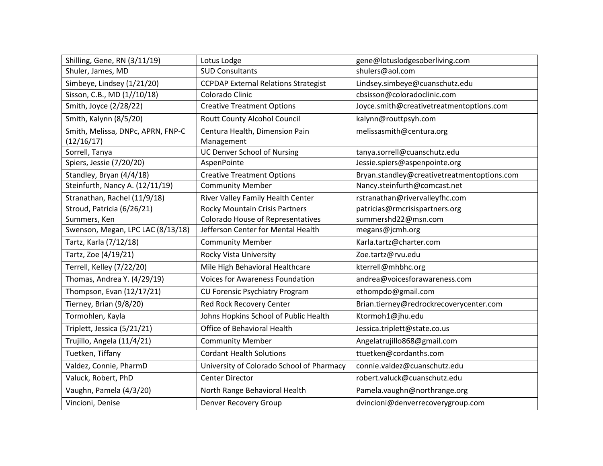| Shilling, Gene, RN (3/11/19)      | Lotus Lodge                                 | gene@lotuslodgesoberliving.com              |
|-----------------------------------|---------------------------------------------|---------------------------------------------|
| Shuler, James, MD                 | <b>SUD Consultants</b>                      | shulers@aol.com                             |
| Simbeye, Lindsey (1/21/20)        | <b>CCPDAP External Relations Strategist</b> | Lindsey.simbeye@cuanschutz.edu              |
| Sisson, C.B., MD (1//10/18)       | Colorado Clinic                             | cbsisson@coloradoclinic.com                 |
| Smith, Joyce (2/28/22)            | <b>Creative Treatment Options</b>           | Joyce.smith@creativetreatmentoptions.com    |
| Smith, Kalynn (8/5/20)            | Routt County Alcohol Council                | kalynn@routtpsyh.com                        |
| Smith, Melissa, DNPc, APRN, FNP-C | Centura Health, Dimension Pain              | melissasmith@centura.org                    |
| (12/16/17)                        | Management                                  |                                             |
| Sorrell, Tanya                    | <b>UC Denver School of Nursing</b>          | tanya.sorrell@cuanschutz.edu                |
| Spiers, Jessie (7/20/20)          | AspenPointe                                 | Jessie.spiers@aspenpointe.org               |
| Standley, Bryan (4/4/18)          | <b>Creative Treatment Options</b>           | Bryan.standley@creativetreatmentoptions.com |
| Steinfurth, Nancy A. (12/11/19)   | <b>Community Member</b>                     | Nancy.steinfurth@comcast.net                |
| Stranathan, Rachel (11/9/18)      | River Valley Family Health Center           | rstranathan@rivervalleyfhc.com              |
| Stroud, Patricia (6/26/21)        | <b>Rocky Mountain Crisis Partners</b>       | patricias@rmcrisispartners.org              |
| Summers, Ken                      | <b>Colorado House of Representatives</b>    | summershd22@msn.com                         |
| Swenson, Megan, LPC LAC (8/13/18) | Jefferson Center for Mental Health          | megans@jcmh.org                             |
| Tartz, Karla (7/12/18)            | <b>Community Member</b>                     | Karla.tartz@charter.com                     |
| Tartz, Zoe (4/19/21)              | Rocky Vista University                      | Zoe.tartz@rvu.edu                           |
| Terrell, Kelley (7/22/20)         | Mile High Behavioral Healthcare             | kterrell@mhbhc.org                          |
| Thomas, Andrea Y. (4/29/19)       | <b>Voices for Awareness Foundation</b>      | andrea@voicesforawareness.com               |
| Thompson, Evan (12/17/21)         | <b>CU Forensic Psychiatry Program</b>       | ethompdo@gmail.com                          |
| Tierney, Brian (9/8/20)           | Red Rock Recovery Center                    | Brian.tierney@redrockrecoverycenter.com     |
| Tormohlen, Kayla                  | Johns Hopkins School of Public Health       | Ktormoh1@jhu.edu                            |
| Triplett, Jessica (5/21/21)       | Office of Behavioral Health                 | Jessica.triplett@state.co.us                |
| Trujillo, Angela (11/4/21)        | <b>Community Member</b>                     | Angelatrujillo868@gmail.com                 |
| Tuetken, Tiffany                  | <b>Cordant Health Solutions</b>             | ttuetken@cordanths.com                      |
| Valdez, Connie, PharmD            | University of Colorado School of Pharmacy   | connie.valdez@cuanschutz.edu                |
| Valuck, Robert, PhD               | <b>Center Director</b>                      | robert.valuck@cuanschutz.edu                |
| Vaughn, Pamela (4/3/20)           | North Range Behavioral Health               | Pamela.vaughn@northrange.org                |
| Vincioni, Denise                  | <b>Denver Recovery Group</b>                | dvincioni@denverrecoverygroup.com           |